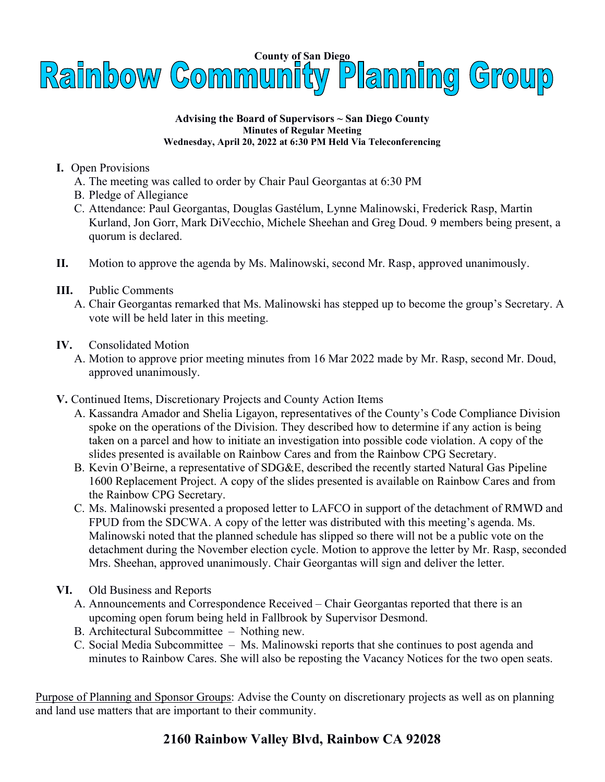

#### Advising the Board of Supervisors ~ San Diego County Minutes of Regular Meeting Wednesday, April 20, 2022 at 6:30 PM Held Via Teleconferencing

#### I. Open Provisions

- A. The meeting was called to order by Chair Paul Georgantas at 6:30 PM
- B. Pledge of Allegiance
- C. Attendance: Paul Georgantas, Douglas Gastélum, Lynne Malinowski, Frederick Rasp, Martin Kurland, Jon Gorr, Mark DiVecchio, Michele Sheehan and Greg Doud. 9 members being present, a quorum is declared.
- II. Motion to approve the agenda by Ms. Malinowski, second Mr. Rasp, approved unanimously.

### III. Public Comments

 A. Chair Georgantas remarked that Ms. Malinowski has stepped up to become the group's Secretary. A vote will be held later in this meeting.

#### IV. Consolidated Motion

- A. Motion to approve prior meeting minutes from 16 Mar 2022 made by Mr. Rasp, second Mr. Doud, approved unanimously.
- V. Continued Items, Discretionary Projects and County Action Items
	- A. Kassandra Amador and Shelia Ligayon, representatives of the County's Code Compliance Division spoke on the operations of the Division. They described how to determine if any action is being taken on a parcel and how to initiate an investigation into possible code violation. A copy of the slides presented is available on Rainbow Cares and from the Rainbow CPG Secretary.
	- B. Kevin O'Beirne, a representative of SDG&E, described the recently started Natural Gas Pipeline 1600 Replacement Project. A copy of the slides presented is available on Rainbow Cares and from the Rainbow CPG Secretary.
	- C. Ms. Malinowski presented a proposed letter to LAFCO in support of the detachment of RMWD and FPUD from the SDCWA. A copy of the letter was distributed with this meeting's agenda. Ms. Malinowski noted that the planned schedule has slipped so there will not be a public vote on the detachment during the November election cycle. Motion to approve the letter by Mr. Rasp, seconded Mrs. Sheehan, approved unanimously. Chair Georgantas will sign and deliver the letter.
- VI. Old Business and Reports
	- A. Announcements and Correspondence Received Chair Georgantas reported that there is an upcoming open forum being held in Fallbrook by Supervisor Desmond.
	- B. Architectural Subcommittee Nothing new.
	- C. Social Media Subcommittee Ms. Malinowski reports that she continues to post agenda and minutes to Rainbow Cares. She will also be reposting the Vacancy Notices for the two open seats.

Purpose of Planning and Sponsor Groups: Advise the County on discretionary projects as well as on planning and land use matters that are important to their community.

# 2160 Rainbow Valley Blvd, Rainbow CA 92028